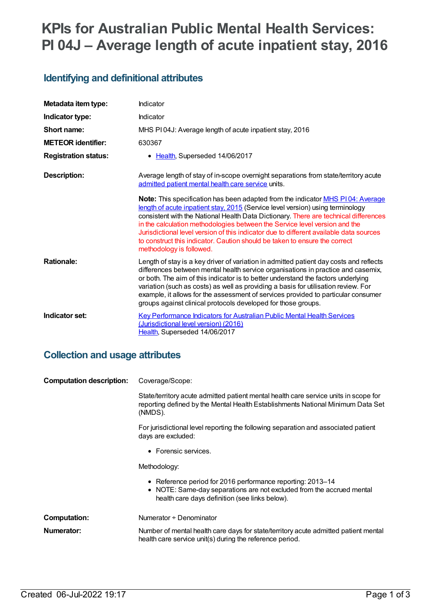# **KPIs for Australian Public Mental Health Services: PI 04J – Average length of acute inpatient stay, 2016**

## **Identifying and definitional attributes**

| Metadata item type:         | Indicator                                                                                                                                                                                                                                                                                                                                                                                                                                                                                                                                                |
|-----------------------------|----------------------------------------------------------------------------------------------------------------------------------------------------------------------------------------------------------------------------------------------------------------------------------------------------------------------------------------------------------------------------------------------------------------------------------------------------------------------------------------------------------------------------------------------------------|
| Indicator type:             | Indicator                                                                                                                                                                                                                                                                                                                                                                                                                                                                                                                                                |
| Short name:                 | MHS PI04J: Average length of acute inpatient stay, 2016                                                                                                                                                                                                                                                                                                                                                                                                                                                                                                  |
| <b>METEOR identifier:</b>   | 630367                                                                                                                                                                                                                                                                                                                                                                                                                                                                                                                                                   |
| <b>Registration status:</b> | • Health, Superseded 14/06/2017                                                                                                                                                                                                                                                                                                                                                                                                                                                                                                                          |
| Description:                | Average length of stay of in-scope overnight separations from state/territory acute<br>admitted patient mental health care service units.                                                                                                                                                                                                                                                                                                                                                                                                                |
|                             | <b>Note:</b> This specification has been adapted from the indicator <b>MHS P104: Average</b><br>length of acute inpatient stay, 2015 (Service level version) using terminology<br>consistent with the National Health Data Dictionary. There are technical differences<br>in the calculation methodologies between the Service level version and the<br>Jurisdictional level version of this indicator due to different available data sources<br>to construct this indicator. Caution should be taken to ensure the correct<br>methodology is followed. |
| <b>Rationale:</b>           | Length of stay is a key driver of variation in admitted patient day costs and reflects<br>differences between mental health service organisations in practice and casemix,<br>or both. The aim of this indicator is to better understand the factors underlying<br>variation (such as costs) as well as providing a basis for utilisation review. For<br>example, it allows for the assessment of services provided to particular consumer<br>groups against clinical protocols developed for those groups.                                              |
| Indicator set:              | Key Performance Indicators for Australian Public Mental Health Services<br>(Jurisdictional level version) (2016)<br>Health, Superseded 14/06/2017                                                                                                                                                                                                                                                                                                                                                                                                        |

#### **Collection and usage attributes**

| <b>Computation description:</b> | Coverage/Scope:                                                                                                                                                                       |  |
|---------------------------------|---------------------------------------------------------------------------------------------------------------------------------------------------------------------------------------|--|
|                                 | State/territory acute admitted patient mental health care service units in scope for<br>reporting defined by the Mental Health Establishments National Minimum Data Set<br>(NMDS).    |  |
|                                 | For jurisdictional level reporting the following separation and associated patient<br>days are excluded:                                                                              |  |
|                                 | • Forensic services.                                                                                                                                                                  |  |
|                                 | Methodology:                                                                                                                                                                          |  |
|                                 | • Reference period for 2016 performance reporting: 2013-14<br>• NOTE: Same-day separations are not excluded from the accrued mental<br>health care days definition (see links below). |  |
| <b>Computation:</b>             | Numerator + Denominator                                                                                                                                                               |  |
| Numerator:                      | Number of mental health care days for state/territory acute admitted patient mental<br>health care service unit(s) during the reference period.                                       |  |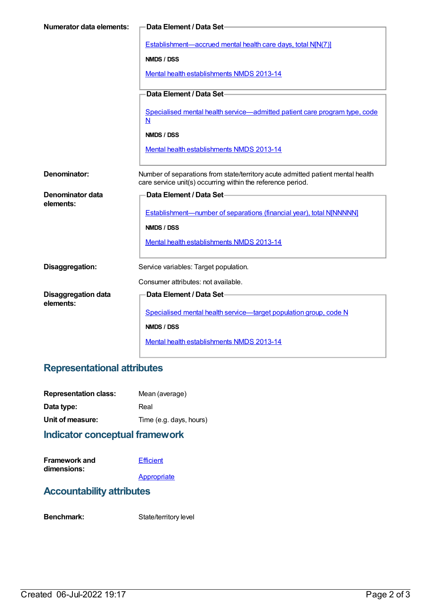| <b>Numerator data elements:</b>         | Data Element / Data Set-                                                                                                                       |
|-----------------------------------------|------------------------------------------------------------------------------------------------------------------------------------------------|
|                                         | Establishment—accrued mental health care days, total N[N(7)]                                                                                   |
|                                         | NMDS / DSS                                                                                                                                     |
|                                         | Mental health establishments NMDS 2013-14                                                                                                      |
|                                         | Data Element / Data Set-                                                                                                                       |
|                                         | Specialised mental health service-admitted patient care program type, code<br>N                                                                |
|                                         | NMDS / DSS                                                                                                                                     |
|                                         | Mental health establishments NMDS 2013-14                                                                                                      |
| Denominator:                            | Number of separations from state/territory acute admitted patient mental health<br>care service unit(s) occurring within the reference period. |
| Denominator data                        | Data Element / Data Set-                                                                                                                       |
| elements:                               | <b>Establishment-number of separations (financial year), total N[NNNNN]</b>                                                                    |
|                                         | NMDS / DSS                                                                                                                                     |
|                                         | Mental health establishments NMDS 2013-14                                                                                                      |
| Disaggregation:                         | Service variables: Target population.                                                                                                          |
|                                         | Consumer attributes: not available.                                                                                                            |
| <b>Disaggregation data</b><br>elements: | Data Element / Data Set                                                                                                                        |
|                                         | Specialised mental health service—target population group, code N                                                                              |
|                                         | NMDS / DSS                                                                                                                                     |
|                                         | Mental health establishments NMDS 2013-14                                                                                                      |

# **Representational attributes**

| <b>Representation class:</b> | Mean (average)          |
|------------------------------|-------------------------|
| Data type:                   | Real                    |
| Unit of measure:             | Time (e.g. days, hours) |
|                              |                         |

#### **Indicator conceptual framework**

| <b>Framework and</b> | Efficient |
|----------------------|-----------|
| dimensions:          |           |
|                      |           |

**[Appropriate](https://meteor.aihw.gov.au/content/584871)** 

## **Accountability attributes**

Benchmark: State/territory level